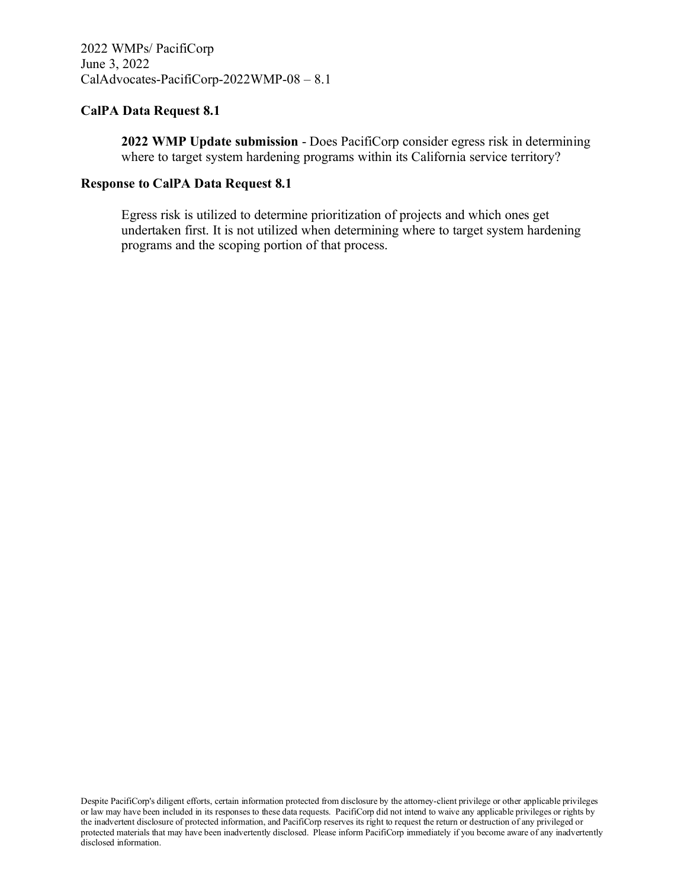**2022 WMP Update submission** - Does PacifiCorp consider egress risk in determining where to target system hardening programs within its California service territory?

#### **Response to CalPA Data Request 8.1**

Egress risk is utilized to determine prioritization of projects and which ones get undertaken first. It is not utilized when determining where to target system hardening programs and the scoping portion of that process.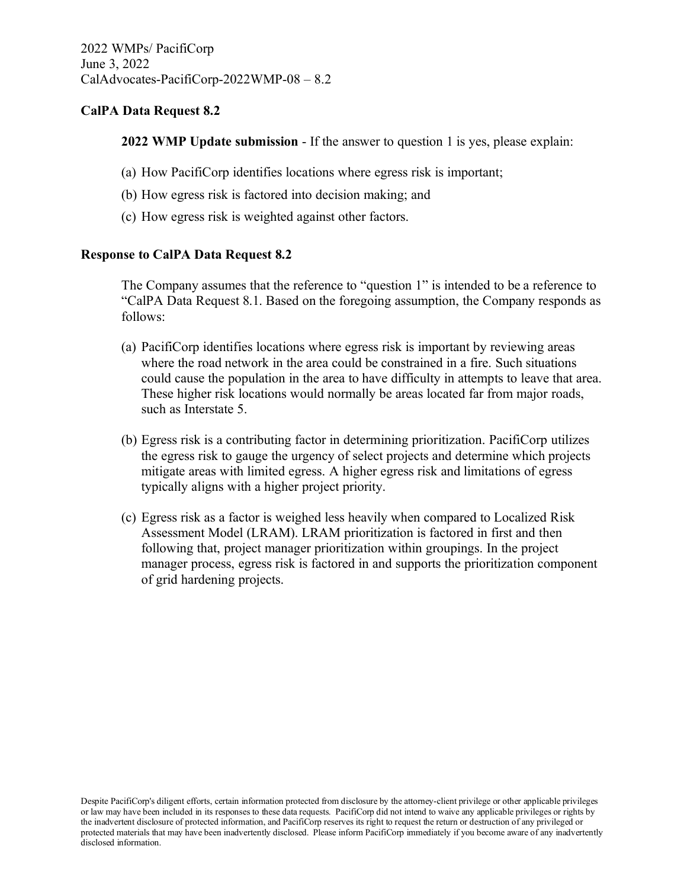**2022 WMP Update submission** - If the answer to question 1 is yes, please explain:

- (a) How PacifiCorp identifies locations where egress risk is important;
- (b) How egress risk is factored into decision making; and
- (c) How egress risk is weighted against other factors.

#### **Response to CalPA Data Request 8.2**

The Company assumes that the reference to "question 1" is intended to be a reference to "CalPA Data Request 8.1. Based on the foregoing assumption, the Company responds as follows:

- (a) PacifiCorp identifies locations where egress risk is important by reviewing areas where the road network in the area could be constrained in a fire. Such situations could cause the population in the area to have difficulty in attempts to leave that area. These higher risk locations would normally be areas located far from major roads, such as Interstate 5.
- (b) Egress risk is a contributing factor in determining prioritization. PacifiCorp utilizes the egress risk to gauge the urgency of select projects and determine which projects mitigate areas with limited egress. A higher egress risk and limitations of egress typically aligns with a higher project priority.
- (c) Egress risk as a factor is weighed less heavily when compared to Localized Risk Assessment Model (LRAM). LRAM prioritization is factored in first and then following that, project manager prioritization within groupings. In the project manager process, egress risk is factored in and supports the prioritization component of grid hardening projects.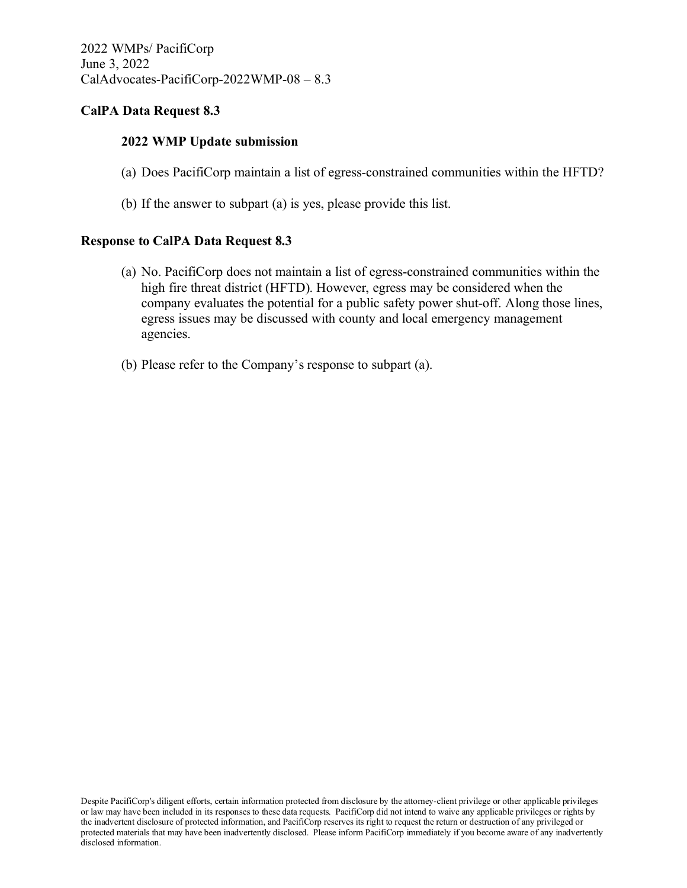### **2022 WMP Update submission**

- (a) Does PacifiCorp maintain a list of egress-constrained communities within the HFTD?
- (b) If the answer to subpart (a) is yes, please provide this list.

#### **Response to CalPA Data Request 8.3**

- (a) No. PacifiCorp does not maintain a list of egress-constrained communities within the high fire threat district (HFTD). However, egress may be considered when the company evaluates the potential for a public safety power shut-off. Along those lines, egress issues may be discussed with county and local emergency management agencies.
- (b) Please refer to the Company's response to subpart (a).

Despite PacifiCorp's diligent efforts, certain information protected from disclosure by the attorney-client privilege or other applicable privileges or law may have been included in its responses to these data requests. PacifiCorp did not intend to waive any applicable privileges or rights by the inadvertent disclosure of protected information, and PacifiCorp reserves its right to request the return or destruction of any privileged or protected materials that may have been inadvertently disclosed. Please inform PacifiCorp immediately if you become aware of any inadvertently disclosed information.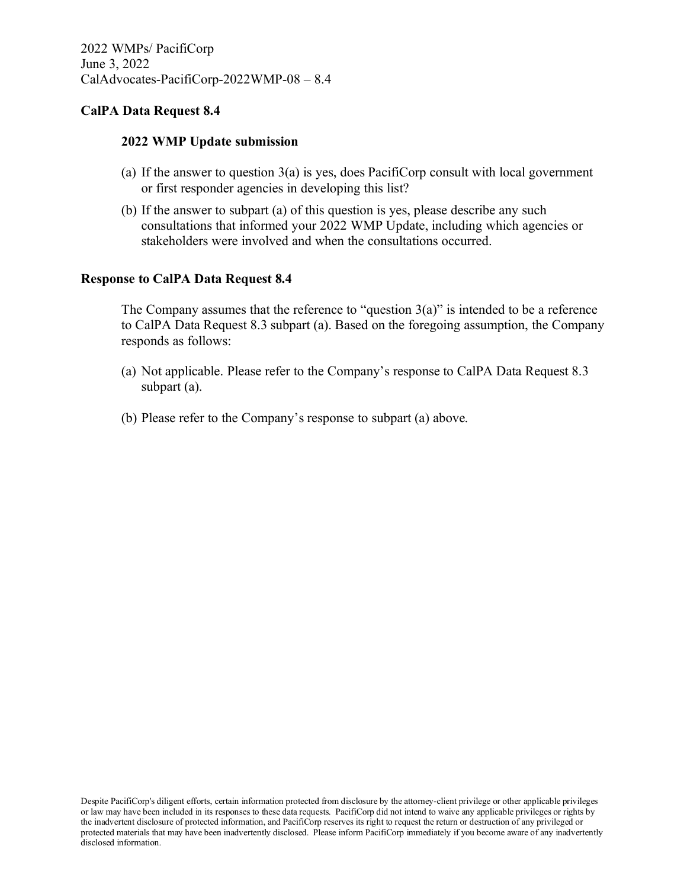#### **2022 WMP Update submission**

- (a) If the answer to question  $3(a)$  is yes, does PacifiCorp consult with local government or first responder agencies in developing this list?
- (b) If the answer to subpart (a) of this question is yes, please describe any such consultations that informed your 2022 WMP Update, including which agencies or stakeholders were involved and when the consultations occurred.

#### **Response to CalPA Data Request 8.4**

The Company assumes that the reference to "question  $3(a)$ " is intended to be a reference to CalPA Data Request 8.3 subpart (a). Based on the foregoing assumption, the Company responds as follows:

- (a) Not applicable. Please refer to the Company's response to CalPA Data Request 8.3 subpart (a).
- (b) Please refer to the Company's response to subpart (a) above.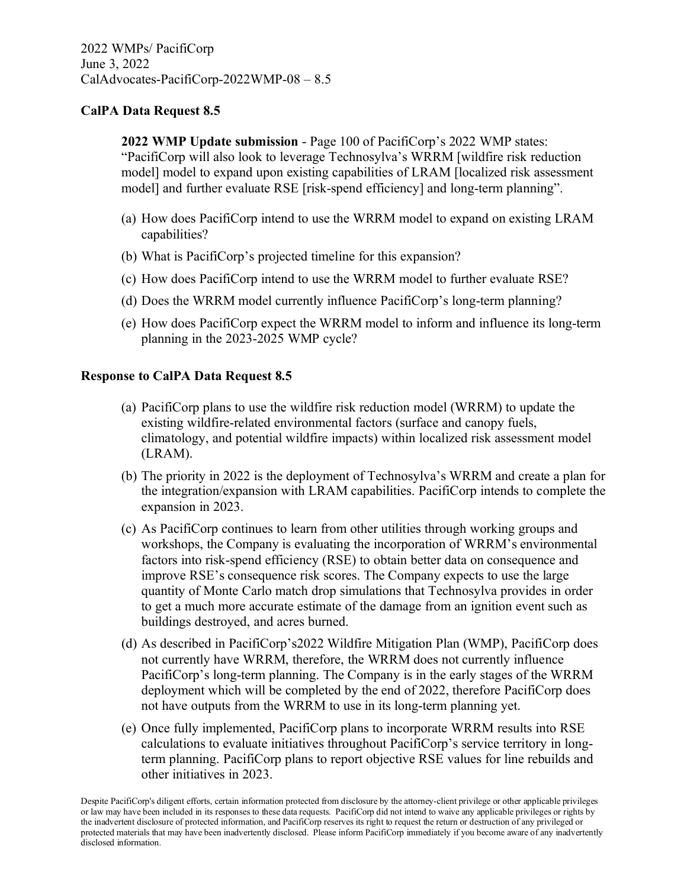**2022 WMP Update submission** - Page 100 of PacifiCorp's 2022 WMP states: "PacifiCorp will also look to leverage Technosylva's WRRM [wildfire risk reduction model] model to expand upon existing capabilities of LRAM [localized risk assessment model] and further evaluate RSE [risk-spend efficiency] and long-term planning".

- (a) How does PacifiCorp intend to use the WRRM model to expand on existing LRAM capabilities?
- (b) What is PacifiCorp's projected timeline for this expansion?
- (c) How does PacifiCorp intend to use the WRRM model to further evaluate RSE?
- (d) Does the WRRM model currently influence PacifiCorp's long-term planning?
- (e) How does PacifiCorp expect the WRRM model to inform and influence its long-term planning in the 2023-2025 WMP cycle?

#### **Response to CalPA Data Request 8.5**

- (a) PacifiCorp plans to use the wildfire risk reduction model (WRRM) to update the existing wildfire-related environmental factors (surface and canopy fuels, climatology, and potential wildfire impacts) within localized risk assessment model (LRAM).
- (b) The priority in 2022 is the deployment of Technosylva's WRRM and create a plan for the integration/expansion with LRAM capabilities. PacifiCorp intends to complete the expansion in 2023.
- (c) As PacifiCorp continues to learn from other utilities through working groups and workshops, the Company is evaluating the incorporation of WRRM's environmental factors into risk-spend efficiency (RSE) to obtain better data on consequence and improve RSE's consequence risk scores. The Company expects to use the large quantity of Monte Carlo match drop simulations that Technosylva provides in order to get a much more accurate estimate of the damage from an ignition event such as buildings destroyed, and acres burned.
- (d) As described in PacifiCorp's2022 Wildfire Mitigation Plan (WMP), PacifiCorp does not currently have WRRM, therefore, the WRRM does not currently influence PacifiCorp's long-term planning. The Company is in the early stages of the WRRM deployment which will be completed by the end of 2022, therefore PacifiCorp does not have outputs from the WRRM to use in its long-term planning yet.
- (e) Once fully implemented, PacifiCorp plans to incorporate WRRM results into RSE calculations to evaluate initiatives throughout PacifiCorp's service territory in longterm planning. PacifiCorp plans to report objective RSE values for line rebuilds and other initiatives in 2023.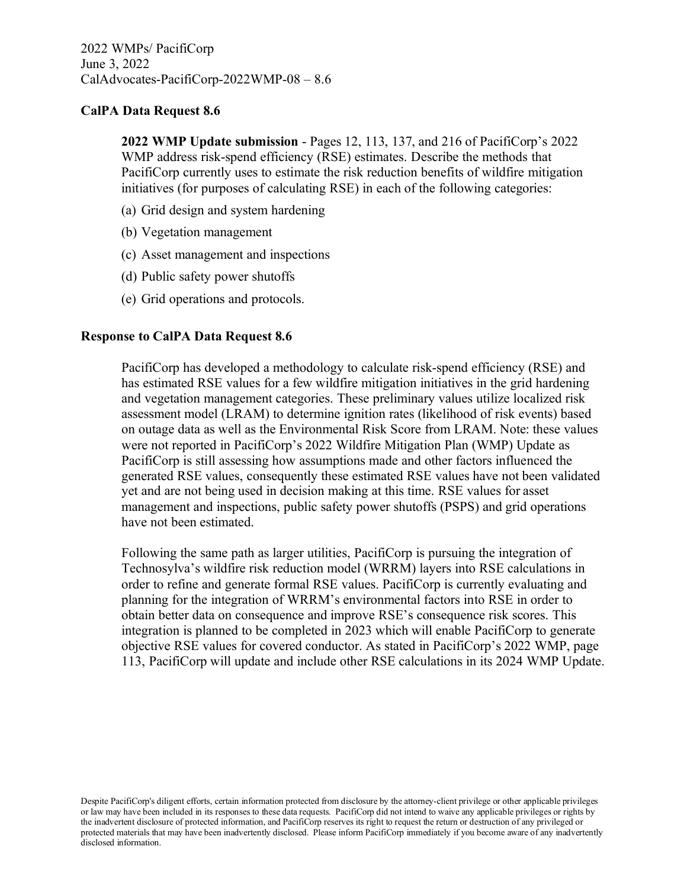**2022 WMP Update submission** - Pages 12, 113, 137, and 216 of PacifiCorp's 2022 WMP address risk-spend efficiency (RSE) estimates. Describe the methods that PacifiCorp currently uses to estimate the risk reduction benefits of wildfire mitigation initiatives (for purposes of calculating RSE) in each of the following categories:

- (a) Grid design and system hardening
- (b) Vegetation management
- (c) Asset management and inspections
- (d) Public safety power shutoffs
- (e) Grid operations and protocols.

#### **Response to CalPA Data Request 8.6**

PacifiCorp has developed a methodology to calculate risk-spend efficiency (RSE) and has estimated RSE values for a few wildfire mitigation initiatives in the grid hardening and vegetation management categories. These preliminary values utilize localized risk assessment model (LRAM) to determine ignition rates (likelihood of risk events) based on outage data as well as the Environmental Risk Score from LRAM. Note: these values were not reported in PacifiCorp's 2022 Wildfire Mitigation Plan (WMP) Update as PacifiCorp is still assessing how assumptions made and other factors influenced the generated RSE values, consequently these estimated RSE values have not been validated yet and are not being used in decision making at this time. RSE values for asset management and inspections, public safety power shutoffs (PSPS) and grid operations have not been estimated.

Following the same path as larger utilities, PacifiCorp is pursuing the integration of Technosylva's wildfire risk reduction model (WRRM) layers into RSE calculations in order to refine and generate formal RSE values. PacifiCorp is currently evaluating and planning for the integration of WRRM's environmental factors into RSE in order to obtain better data on consequence and improve RSE's consequence risk scores. This integration is planned to be completed in 2023 which will enable PacifiCorp to generate objective RSE values for covered conductor. As stated in PacifiCorp's 2022 WMP, page 113, PacifiCorp will update and include other RSE calculations in its 2024 WMP Update.